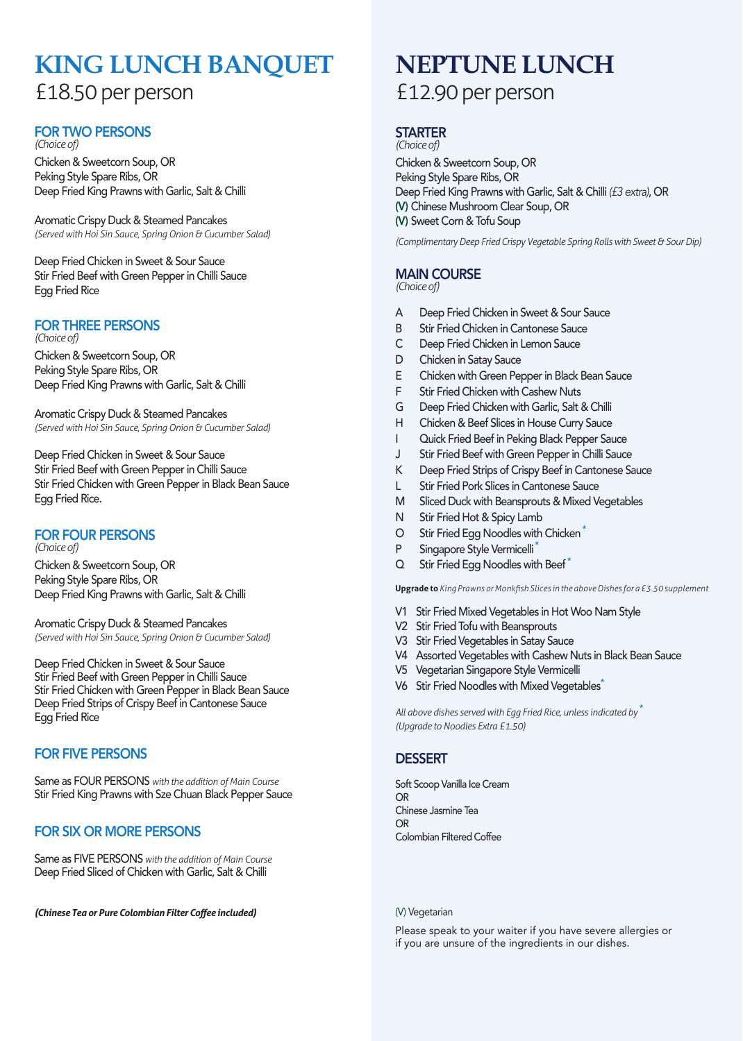## **KING LUNCH BANQUET** £18.50 per person

### FOR TWO PERSONS *(Choice of)*

Chicken & Sweetcorn Soup, OR Peking Style Spare Ribs, OR Deep Fried King Prawns with Garlic, Salt & Chilli

Aromatic Crispy Duck & Steamed Pancakes *(Served with Hoi Sin Sauce, Spring Onion & Cucumber Salad)*

Deep Fried Chicken in Sweet & Sour Sauce Stir Fried Beef with Green Pepper in Chilli Sauce Egg Fried Rice

### FOR THREE PERSONS *(Choice of)*

Chicken & Sweetcorn Soup, OR Peking Style Spare Ribs, OR Deep Fried King Prawns with Garlic, Salt & Chilli

Aromatic Crispy Duck & Steamed Pancakes *(Served with Hoi Sin Sauce, Spring Onion & Cucumber Salad)*

Deep Fried Chicken in Sweet & Sour Sauce Stir Fried Beef with Green Pepper in Chilli Sauce Stir Fried Chicken with Green Pepper in Black Bean Sauce Egg Fried Rice.

### FOR FOUR PERSONS

*(Choice of)*  Chicken & Sweetcorn Soup, OR Peking Style Spare Ribs, OR Deep Fried King Prawns with Garlic, Salt & Chilli

Aromatic Crispy Duck & Steamed Pancakes *(Served with Hoi Sin Sauce, Spring Onion & Cucumber Salad)*

Deep Fried Chicken in Sweet & Sour Sauce Stir Fried Beef with Green Pepper in Chilli Sauce Stir Fried Chicken with Green Pepper in Black Bean Sauce Deep Fried Strips of Crispy Beef in Cantonese Sauce Egg Fried Rice

### FOR FIVE PERSONS

Same as FOUR PERSONS *with the addition of Main Course* Stir Fried King Prawns with Sze Chuan Black Pepper Sauce

### FOR SIX OR MORE PERSONS

Same as FIVE PERSONS *with the addition of Main Course* Deep Fried Sliced of Chicken with Garlic, Salt & Chilli

*(Chinese Tea or Pure Colombian Filter Coffee included)*

# **NEPTUNE LUNCH**

## £12.90 per person

#### **STARTER** *(Choice of)*

Chicken & Sweetcorn Soup, OR Peking Style Spare Ribs, OR Deep Fried King Prawns with Garlic, Salt & Chilli *(£3 extra)*, OR (V) Chinese Mushroom Clear Soup, OR (V) Sweet Corn & Tofu Soup

*(Complimentary Deep Fried Crispy Vegetable Spring Rolls with Sweet & Sour Dip)*

### MAIN COURSE

*(Choice of)* 

- A Deep Fried Chicken in Sweet & Sour Sauce
- B Stir Fried Chicken in Cantonese Sauce
- C Deep Fried Chicken in Lemon Sauce
- D Chicken in Satay Sauce
- E Chicken with Green Pepper in Black Bean Sauce
- F Stir Fried Chicken with Cashew Nuts
- G Deep Fried Chicken with Garlic, Salt & Chilli
- H Chicken & Beef Slices in House Curry Sauce
- I Quick Fried Beef in Peking Black Pepper Sauce
- J Stir Fried Beef with Green Pepper in Chilli Sauce
- K Deep Fried Strips of Crispy Beef in Cantonese Sauce
- L Stir Fried Pork Slices in Cantonese Sauce
- M Sliced Duck with Beansprouts & Mixed Vegetables
- N Stir Fried Hot & Spicy Lamb
- O Stir Fried Egg Noodles with Chicken \*
- P Singapore Style Vermicelli
- Q Stir Fried Egg Noodles with Beef\*

**Upgrade to** *King Prawns or Monkfish Slices in the above Dishes for a £3.50 supplement*

- V1 Stir Fried Mixed Vegetables in Hot Woo Nam Style
- V2 Stir Fried Tofu with Beansprouts
- V3 Stir Fried Vegetables in Satay Sauce
- V4 Assorted Vegetables with Cashew Nuts in Black Bean Sauce
- V5 Vegetarian Singapore Style Vermicelli
- V6 Stir Fried Noodles with Mixed Vegetables<sup>\*</sup>

*All above dishes served with Egg Fried Rice, unless indicated by* \* *(Upgrade to Noodles Extra £1.50)*

### **DESSERT**

Soft Scoop Vanilla Ice Cream OR Chinese Jasmine Tea OR Colombian Filtered Coffee

#### (V) Vegetarian

Please speak to your waiter if you have severe allergies or if you are unsure of the ingredients in our dishes.